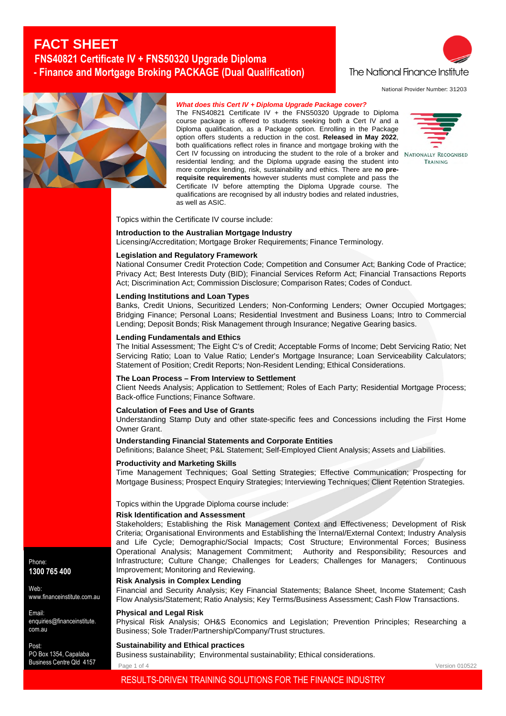# **FACT SHEET FNS40821 Certificate IV + FNS50320 Upgrade Diploma - Finance and Mortgage Broking PACKAGE (Dual Qualification)**



National Provider Number: 31203



## *What does this Cert IV + Diploma Upgrade Package cover?*

The FNS40821 Certificate IV + the FNS50320 Upgrade to Diploma course package is offered to students seeking both a Cert IV and a Diploma qualification, as a Package option. Enrolling in the Package option offers students a reduction in the cost. **Released in May 2022**, both qualifications reflect roles in finance and mortgage broking with the Cert IV focussing on introducing the student to the role of a broker and NATIONALLY RECOGNISED residential lending; and the Diploma upgrade easing the student into more complex lending, risk, sustainability and ethics. There are **no prerequisite requirements** however students must complete and pass the Certificate IV before attempting the Diploma Upgrade course. The qualifications are recognised by all industry bodies and related industries, as well as ASIC.



Version 010522

Topics within the Certificate IV course include:

## **Introduction to the Australian Mortgage Industry**

Licensing/Accreditation; Mortgage Broker Requirements; Finance Terminology.

### **Legislation and Regulatory Framework**

National Consumer Credit Protection Code; Competition and Consumer Act; Banking Code of Practice; Privacy Act; Best Interests Duty (BID); Financial Services Reform Act; Financial Transactions Reports Act; Discrimination Act; Commission Disclosure; Comparison Rates; Codes of Conduct.

## **Lending Institutions and Loan Types**

Banks, Credit Unions, Securitized Lenders; Non-Conforming Lenders; Owner Occupied Mortgages; Bridging Finance; Personal Loans; Residential Investment and Business Loans; Intro to Commercial Lending; Deposit Bonds; Risk Management through Insurance; Negative Gearing basics.

#### **Lending Fundamentals and Ethics**

The Initial Assessment; The Eight C's of Credit; Acceptable Forms of Income; Debt Servicing Ratio; Net Servicing Ratio: Loan to Value Ratio: Lender's Mortgage Insurance: Loan Serviceability Calculators; Statement of Position; Credit Reports; Non-Resident Lending; Ethical Considerations.

#### **The Loan Process – From Interview to Settlement**

Client Needs Analysis; Application to Settlement; Roles of Each Party; Residential Mortgage Process; Back-office Functions; Finance Software.

#### **Calculation of Fees and Use of Grants**

Understanding Stamp Duty and other state-specific fees and Concessions including the First Home Owner Grant.

#### **Understanding Financial Statements and Corporate Entities**

Definitions; Balance Sheet; P&L Statement; Self-Employed Client Analysis; Assets and Liabilities.

## **Productivity and Marketing Skills**

Time Management Techniques; Goal Setting Strategies; Effective Communication; Prospecting for Mortgage Business; Prospect Enquiry Strategies; Interviewing Techniques; Client Retention Strategies.

Topics within the Upgrade Diploma course include:

#### **Risk Identification and Assessment**

Stakeholders; Establishing the Risk Management Context and Effectiveness; Development of Risk Criteria; Organisational Environments and Establishing the Internal/External Context; Industry Analysis and Life Cycle; Demographic/Social Impacts; Cost Structure; Environmental Forces; Business Operational Analysis; Management Commitment; Authority and Responsibility; Resources and Infrastructure; Culture Change; Challenges for Leaders; Challenges for Managers; Continuous Improvement; Monitoring and Reviewing.

## **Risk Analysis in Complex Lending**

Financial and Security Analysis; Key Financial Statements; Balance Sheet, Income Statement; Cash Flow Analysis/Statement; Ratio Analysis; Key Terms/Business Assessment; Cash Flow Transactions.

#### **Physical and Legal Risk**

Physical Risk Analysis; OH&S Economics and Legislation; Prevention Principles; Researching a Business; Sole Trader/Partnership/Company/Trust structures.

#### **Sustainability and Ethical practices**

Business sustainability; Environmental sustainability; Ethical considerations.

Page 1 of 4

Phone: **1300 765 400**

Web:

Email: enquiries@financeinstitute. com.au

www.financeinstitute.com.au

Post: PO Box 1354, Capalaba Business Centre Qld 4157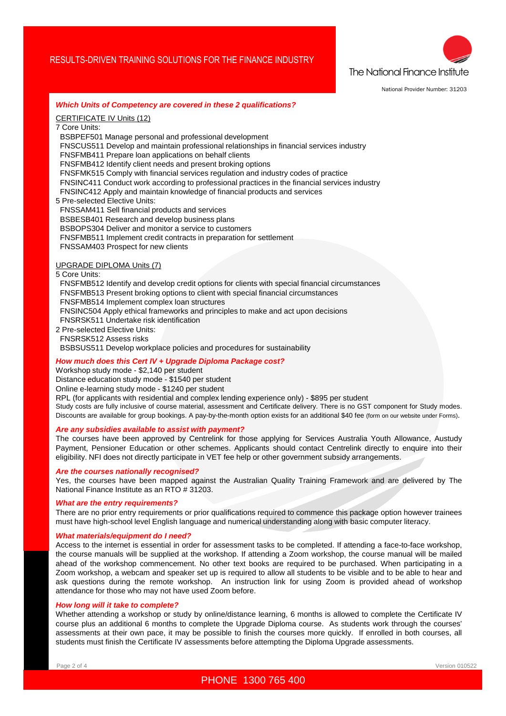## RESULTS-DRIVEN TRAINING SOLUTIONS FOR THE FINANCE INDUSTRY



National Provider Number: 31203

#### *Which Units of Competency are covered in these 2 qualifications?*

CERTIFICATE IV Units (12)

7 Core Units:

BSBPEF501 Manage personal and professional development

FNSCUS511 Develop and maintain professional relationships in financial services industry

FNSFMB411 Prepare loan applications on behalf clients

FNSFMB412 Identify client needs and present broking options

FNSFMK515 Comply with financial services regulation and industry codes of practice

FNSINC411 Conduct work according to professional practices in the financial services industry

FNSINC412 Apply and maintain knowledge of financial products and services

5 Pre-selected Elective Units:

FNSSAM411 Sell financial products and services

- BSBESB401 Research and develop business plans
- BSBOPS304 Deliver and monitor a service to customers

FNSFMB511 Implement credit contracts in preparation for settlement

FNSSAM403 Prospect for new clients

## UPGRADE DIPLOMA Units (7)

5 Core Units:

FNSFMB512 Identify and develop credit options for clients with special financial circumstances

FNSFMB513 Present broking options to client with special financial circumstances

FNSFMB514 Implement complex loan structures

FNSINC504 Apply ethical frameworks and principles to make and act upon decisions

- FNSRSK511 Undertake risk identification
- 2 Pre-selected Elective Units: FNSRSK512 Assess risks

BSBSUS511 Develop workplace policies and procedures for sustainability

#### *How much does this Cert IV + Upgrade Diploma Package cost?*

Workshop study mode - \$2,140 per student

Distance education study mode - \$1540 per student

Online e-learning study mode - \$1240 per student

RPL (for applicants with residential and complex lending experience only) - \$895 per student

Study costs are fully inclusive of course material, assessment and Certificate delivery. There is no GST component for Study modes. Discounts are available for group bookings. A pay-by-the-month option exists for an additional \$40 fee (form on our website under Forms).

#### *Are any subsidies available to assist with payment?*

The courses have been approved by Centrelink for those applying for Services Australia Youth Allowance, Austudy Payment, Pensioner Education or other schemes. Applicants should contact Centrelink directly to enquire into their eligibility. NFI does not directly participate in VET fee help or other government subsidy arrangements.

#### *Are the courses nationally recognised?*

Yes, the courses have been mapped against the Australian Quality Training Framework and are delivered by The National Finance Institute as an RTO # 31203.

## *What are the entry requirements?*

There are no prior entry requirements or prior qualifications required to commence this package option however trainees must have high-school level English language and numerical understanding along with basic computer literacy.

## *What materials/equipment do I need?*

Access to the internet is essential in order for assessment tasks to be completed. If attending a face-to-face workshop, the course manuals will be supplied at the workshop. If attending a Zoom workshop, the course manual will be mailed ahead of the workshop commencement. No other text books are required to be purchased. When participating in a Zoom workshop, a webcam and speaker set up is required to allow all students to be visible and to be able to hear and ask questions during the remote workshop. An instruction link for using Zoom is provided ahead of workshop attendance for those who may not have used Zoom before.

#### *How long will it take to complete?*

Whether attending a workshop or study by online/distance learning, 6 months is allowed to complete the Certificate IV course plus an additional 6 months to complete the Upgrade Diploma course. As students work through the courses' assessments at their own pace, it may be possible to finish the courses more quickly. If enrolled in both courses, all students must finish the Certificate IV assessments before attempting the Diploma Upgrade assessments.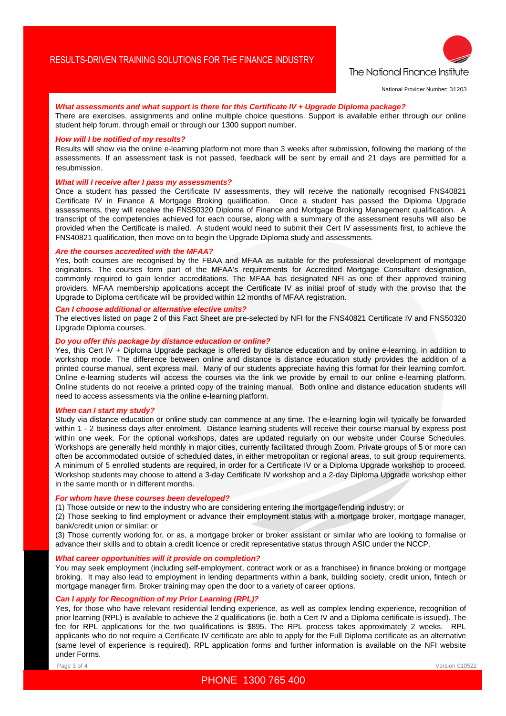

National Provider Number: 31203

## *What assessments and what support is there for this Certificate IV + Upgrade Diploma package?*

There are exercises, assignments and online multiple choice questions. Support is available either through our online student help forum, through email or through our 1300 support number.

#### *How will I be notified of my results?*

Results will show via the online e-learning platform not more than 3 weeks after submission, following the marking of the assessments. If an assessment task is not passed, feedback will be sent by email and 21 days are permitted for a resubmission.

## *What will I receive after I pass my assessments?*

Once a student has passed the Certificate IV assessments, they will receive the nationally recognised FNS40821 Certificate IV in Finance & Mortgage Broking qualification. Once a student has passed the Diploma Upgrade assessments, they will receive the FNS50320 Diploma of Finance and Mortgage Broking Management qualification. A transcript of the competencies achieved for each course, along with a summary of the assessment results will also be provided when the Certificate is mailed. A student would need to submit their Cert IV assessments first, to achieve the FNS40821 qualification, then move on to begin the Upgrade Diploma study and assessments.

#### *Are the courses accredited with the MFAA?*

Yes, both courses are recognised by the FBAA and MFAA as suitable for the professional development of mortgage originators. The courses form part of the MFAA's requirements for Accredited Mortgage Consultant designation, commonly required to gain lender accreditations. The MFAA has designated NFI as one of their approved training providers. MFAA membership applications accept the Certificate IV as initial proof of study with the proviso that the Upgrade to Diploma certificate will be provided within 12 months of MFAA registration.

## *Can I choose additional or alternative elective units?*

The electives listed on page 2 of this Fact Sheet are pre-selected by NFI for the FNS40821 Certificate IV and FNS50320 Upgrade Diploma courses.

## *Do you offer this package by distance education or online?*

Yes, this Cert IV + Diploma Upgrade package is offered by distance education and by online e-learning, in addition to workshop mode. The difference between online and distance is distance education study provides the addition of a printed course manual, sent express mail. Many of our students appreciate having this format for their learning comfort. Online e-learning students will access the courses via the link we provide by email to our online e-learning platform. Online students do not receive a printed copy of the training manual. Both online and distance education students will need to access assessments via the online e-learning platform.

#### *When can I start my study?*

Study via distance education or online study can commence at any time. The e-learning login will typically be forwarded within 1 - 2 business days after enrolment. Distance learning students will receive their course manual by express post within one week. For the optional workshops, dates are updated regularly on our website under Course Schedules. Workshops are generally held monthly in major cities, currently facilitated through Zoom. Private groups of 5 or more can often be accommodated outside of scheduled dates, in either metropolitan or regional areas, to suit group requirements. A minimum of 5 enrolled students are required, in order for a Certificate IV or a Diploma Upgrade workshop to proceed. Workshop students may choose to attend a 3-day Certificate IV workshop and a 2-day Diploma Upgrade workshop either in the same month or in different months.

## *For whom have these courses been developed?*

(1) Those outside or new to the industry who are considering entering the mortgage/lending industry; or

(2) Those seeking to find employment or advance their employment status with a mortgage broker, mortgage manager, bank/credit union or similar; or

(3) Those currently working for, or as, a mortgage broker or broker assistant or similar who are looking to formalise or advance their skills and to obtain a credit licence or credit representative status through ASIC under the NCCP.

#### *What career opportunities will it provide on completion?*

You may seek employment (including self-employment, contract work or as a franchisee) in finance broking or mortgage broking. It may also lead to employment in lending departments within a bank, building society, credit union, fintech or mortgage manager firm. Broker training may open the door to a variety of career options.

## *Can I apply for Recognition of my Prior Learning (RPL)?*

Yes, for those who have relevant residential lending experience, as well as complex lending experience, recognition of prior learning (RPL) is available to achieve the 2 qualifications (ie. both a Cert IV and a Diploma certificate is issued). The fee for RPL applications for the two qualifications is \$895. The RPL process takes approximately 2 weeks. RPL applicants who do not require a Certificate IV certificate are able to apply for the Full Diploma certificate as an alternative (same level of experience is required). RPL application forms and further information is available on the NFI website under Forms.